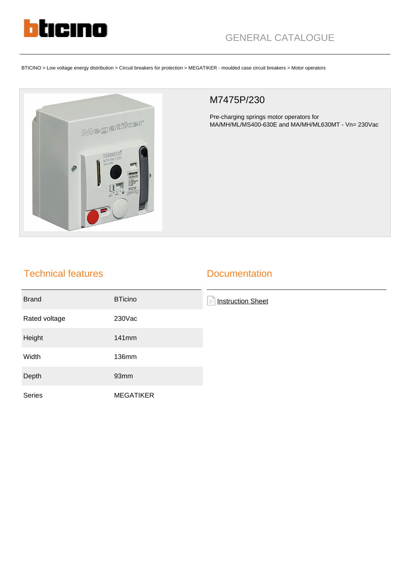

BTICINO > Low voltage energy distribution > Circuit breakers for protection > MEGATIKER - moulded case circuit breakers > Motor operators



## M7475P/230

Pre-charging springs motor operators for MA/MH/ML/MS400-630E and MA/MH/ML630MT - Vn= 230Vac

## Technical features

## **Documentation**

| <b>Brand</b>  | <b>BTicino</b>   | E<br><b>Instruction Sheet</b> |
|---------------|------------------|-------------------------------|
| Rated voltage | 230Vac           |                               |
| Height        | 141mm            |                               |
| Width         | <b>136mm</b>     |                               |
| Depth         | 93mm             |                               |
| Series        | <b>MEGATIKER</b> |                               |